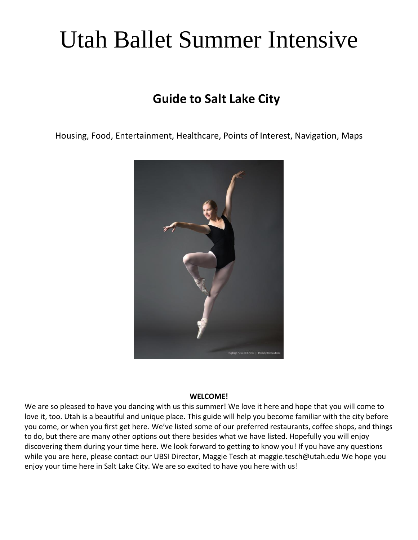# Utah Ballet Summer Intensive

# **Guide to Salt Lake City**

Housing, Food, Entertainment, Healthcare, Points of Interest, Navigation, Maps



#### **WELCOME!**

We are so pleased to have you dancing with us this summer! We love it here and hope that you will come to love it, too. Utah is a beautiful and unique place. This guide will help you become familiar with the city before you come, or when you first get here. We've listed some of our preferred restaurants, coffee shops, and things to do, but there are many other options out there besides what we have listed. Hopefully you will enjoy discovering them during your time here. We look forward to getting to know you! If you have any questions while you are here, please contact our UBSI Director, Maggie Tesch at maggie.tesch@utah.edu We hope you enjoy your time here in Salt Lake City. We are so excited to have you here with us!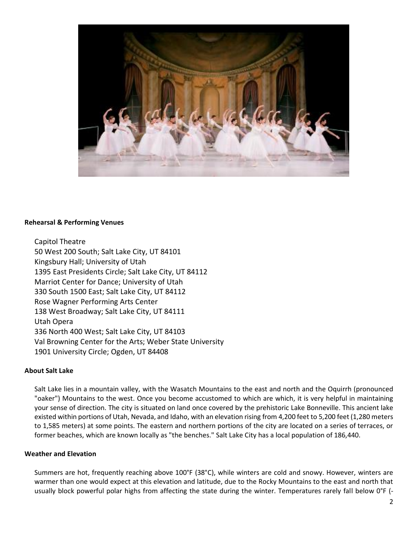

#### **Rehearsal & Performing Venues**

Capitol Theatre 50 West 200 South; Salt Lake City, UT 84101 Kingsbury Hall; University of Utah 1395 East Presidents Circle; Salt Lake City, UT 84112 Marriot Center for Dance; University of Utah 330 South 1500 East; Salt Lake City, UT 84112 Rose Wagner Performing Arts Center 138 West Broadway; Salt Lake City, UT 84111 Utah Opera 336 North 400 West; Salt Lake City, UT 84103 Val Browning Center for the Arts; Weber State University 1901 University Circle; Ogden, UT 84408

#### **About Salt Lake**

Salt Lake lies in a mountain valley, with the Wasatch Mountains to the east and north and the Oquirrh (pronounced "oaker") Mountains to the west. Once you become accustomed to which are which, it is very helpful in maintaining your sense of direction. The city is situated on land once covered by the prehistoric Lake Bonneville. This ancient lake existed within portions of Utah, Nevada, and Idaho, with an elevation rising from 4,200 feet to 5,200 feet (1,280 meters to 1,585 meters) at some points. The eastern and northern portions of the city are located on a series of terraces, or former beaches, which are known locally as "the benches." Salt Lake City has a local population of 186,440.

#### **Weather and Elevation**

Summers are hot, frequently reaching above 100°F (38°C), while winters are cold and snowy. However, winters are warmer than one would expect at this elevation and latitude, due to the Rocky Mountains to the east and north that usually block powerful polar highs from affecting the state during the winter. Temperatures rarely fall below 0°F (-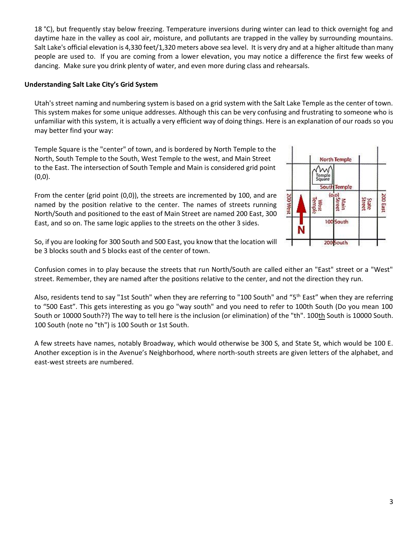18 °C), but frequently stay below freezing. Temperature inversions during winter can lead to thick overnight fog and daytime haze in the valley as cool air, moisture, and pollutants are trapped in the valley by surrounding mountains. Salt Lake's official elevation is 4,330 feet/1,320 meters above sea level. It is very dry and at a higher altitude than many people are used to. If you are coming from a lower elevation, you may notice a difference the first few weeks of dancing. Make sure you drink plenty of water, and even more during class and rehearsals.

#### **Understanding Salt Lake City's Grid System**

Utah's street naming and numbering system is based on a grid system with the Salt Lake Temple as the center of town. This system makes for some unique addresses. Although this can be very confusing and frustrating to someone who is unfamiliar with this system, it is actually a very efficient way of doing things. Here is an explanation of our roads so you may better find your way:

Temple Square is the "center" of town, and is bordered by North Temple to the North, South Temple to the South, West Temple to the west, and Main Street to the East. The intersection of South Temple and Main is considered grid point  $(0,0)$ .

From the center (grid point (0,0)), the streets are incremented by 100, and are named by the position relative to the center. The names of streets running North/South and positioned to the east of Main Street are named 200 East, 300 East, and so on. The same logic applies to the streets on the other 3 sides.



So, if you are looking for 300 South and 500 East, you know that the location will be 3 blocks south and 5 blocks east of the center of town.

Confusion comes in to play because the streets that run North/South are called either an "East" street or a "West" street. Remember, they are named after the positions relative to the center, and not the direction they run.

Also, residents tend to say "1st South" when they are referring to "100 South" and "5<sup>th</sup> East" when they are referring to "500 East". This gets interesting as you go "way south" and you need to refer to 100th South (Do you mean 100 South or 10000 South??) The way to tell here is the inclusion (or elimination) of the "th". 100th South is 10000 South. 100 South (note no "th") is 100 South or 1st South.

A few streets have names, notably Broadway, which would otherwise be 300 S, and State St, which would be 100 E. Another exception is in the Avenue's Neighborhood, where north-south streets are given letters of the alphabet, and east-west streets are numbered.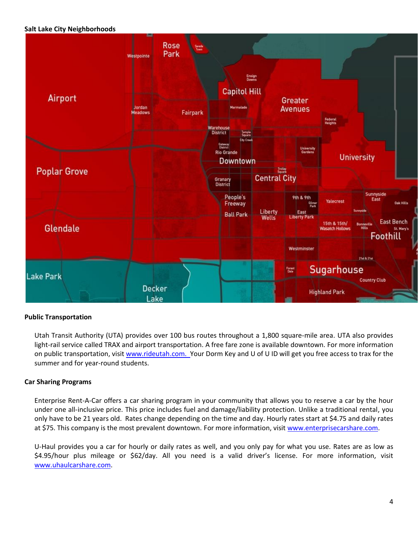#### **Salt Lake City Neighborhoods**



#### **Public Transportation**

Utah Transit Authority (UTA) provides over 100 bus routes throughout a 1,800 square-mile area. UTA also provides light-rail service called TRAX and airport transportation. A free fare zone is available downtown. For more information on public transportation, visit [www.rideutah.com.](http://www.rideutah.com/) Your Dorm Key and U of U ID will get you free access to trax for the summer and for year-round students.

#### **Car Sharing Programs**

Enterprise Rent-A-Car offers a car sharing program in your community that allows you to reserve a car by the hour under one all-inclusive price. This price includes fuel and damage/liability protection. Unlike a traditional rental, you only have to be 21 years old. Rates change depending on the time and day. Hourly rates start at \$4.75 and daily rates at \$75. This company is the most prevalent downtown. For more information, visit [www.enterprisecarshare.com.](http://www.enterprisecarshare.com/)

U-Haul provides you a car for hourly or daily rates as well, and you only pay for what you use. Rates are as low as \$4.95/hour plus mileage or \$62/day. All you need is a valid driver's license. For more information, visit [www.uhaulcarshare.com.](http://www.uhaulcarshare.com/)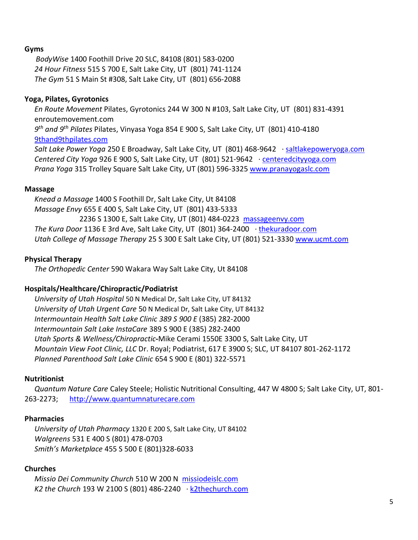# **Gyms**

 *BodyWise* 1400 Foothill Drive 20 SLC, 84108 (801) 583-0200 *24 Hour Fitness* 515 S 700 E, Salt Lake City, UT (801) 741-1124 *The Gym* 51 S Main St #308, Salt Lake City, UT (801) 656-2088

# **Yoga, Pilates, Gyrotonics**

*En Route Movement* Pilates, Gyrotonics 244 W 300 N #103, Salt Lake City, UT (801) 831-4391 enroutemovement.com *9 th and 9th Pilates* Pilates, Vinyasa Yoga 854 E 900 S, Salt Lake City, UT (801) 410-4180 [9thand9thpilates.com](http://maps.google.com/local_url?dq=9th+and+9th+Pilates+slc&q=http://9thand9thpilates.com/&ved=0CBAQ5AQ&sa=X&ei=xIcjU9-rIcGbiQKf0oHwBA&s=ANYYN7klRg8lwNjdcuwpZn86ULEtHPUHPw) *Salt Lake Power Yoga* 250 E Broadway, Salt Lake City, UT (801) 468-9642 · [saltlakepoweryoga.com](http://maps.google.com/local_url?dq=Salt+Lake+Power+Yoga,+East+Broadway,+Salt+Lake+City,+UT&q=http://www.saltlakepoweryoga.com/&ved=0CBQQ5AQ&sa=X&ei=b4gjU4aZOeGsiAKTz4CoDg&s=ANYYN7mJoh5s4OaJQtBntoHcW3TEDGV8-w) *Centered City Yoga* 926 E 900 S, Salt Lake City, UT (801) 521-9642 · [centeredcityyoga.com](http://maps.google.com/local_url?dq=dana+baptiste+yoga+kate+crews+slc&q=http://www.centeredcityyoga.com/&ved=0CBYQ5AQ&sa=X&ei=DYkjU_22NuOhiQK3zoDgAw&s=ANYYN7njUtjzFVC41kgH4skdsj_PYu-x6w) *Prana Yoga* 315 Trolley Square Salt Lake City, UT (801) 596-3325 [www.pranayogaslc.com](http://www.pranayogaslc.com/)

# **Massage**

*Knead a Massage* 1400 S Foothill Dr, Salt Lake City, Ut 84108 *Massage Envy* 655 E 400 S, Salt Lake City, UT (801) 433-5333 2236 S 1300 E, Salt Lake City, UT (801) 484-0223 [massageenvy.com](http://maps.google.com/local_url?dq=massage+envy+near+Salt+Lake+City,+UT&q=http://www.massageenvy.com/clinics/UT/Fourth-South.aspx&ved=0CFwQ5AQ&sa=X&ei=0IkjU-zJFYeyiQK264G4DQ&s=ANYYN7mZvD8sj9tG_EtihOzvpty2Ojm-zQ) *The Kura Door* 1136 E 3rd Ave, Salt Lake City, UT (801) 364-2400 *·* [thekuradoor.com](http://maps.google.com/local_url?dq=The+Kura+Door,+East+3rd+Avenue,+Salt+Lake+City,+UT&q=http://www.thekuradoor.com/&ved=0CBIQ5AQ&sa=X&ei=FoojU4CqFqmXiQLWw4DgBQ&s=ANYYN7n2OHcloMd0aC7AtZQr1Q1YumlkhQ) *Utah College of Massage Therapy* 25 S 300 E Salt Lake City, UT (801) 521-3330 [www.ucmt.com](http://www.ucmt.com/)

# **Physical Therapy**

*The Orthopedic Center* 590 Wakara Way Salt Lake City, Ut 84108

# **Hospitals/Healthcare/Chiropractic/Podiatrist**

*University of Utah Hospital* 50 N Medical Dr, Salt Lake City, UT 84132 *University of Utah Urgent Care* 50 N Medical Dr, Salt Lake City, UT 84132 *Intermountain Health Salt Lake Clinic 389 S 900 E* (385) 282-2000 *Intermountain Salt Lake InstaCare* 389 S 900 E (385) 282-2400 *Utah Sports & Wellness/Chiropractic***-**Mike Cerami 1550E 3300 S, Salt Lake City, UT *Mountain View Foot Clinic, LLC* Dr. Royal; Podiatrist, 617 E 3900 S; SLC, UT 84107 801-262-1172 *Planned Parenthood Salt Lake Clinic* 654 S 900 E (801) 322-5571

# **Nutritionist**

*Quantum Nature Care* Caley Steele; Holistic Nutritional Consulting, 447 W 4800 S; Salt Lake City, UT, 801- 263-2273; [http://www.quantumnaturecare.com](http://www.quantumnaturecare.com/)

# **Pharmacies**

*University of Utah Pharmacy* 1320 E 200 S, Salt Lake City, UT 84102 *Walgreens* 531 E 400 S (801) 478-0703 *Smith's Marketplace* 455 S 500 E (801)328-6033

# **Churches**

*Missio Dei Community Church* 510 W 200 N [missiodeislc.com](http://maps.google.com/local_url?dq=missio+dei+church+salt+lake+city&q=http://missiodeislc.com/&ved=0CA4Q5AQ&sa=X&ei=zoojU83jEaffiAKipIGgDA&s=ANYYN7mhatTAAJ-qJPkCgurl4xGGs5q4FA) *K2 the Church* 193 W 2100 S (801) 486-2240 · [k2thechurch.com](http://maps.google.com/local_url?dq=K2+church+slc&q=http://www.k2thechurch.com/&ved=0CBMQ5AQ&sa=X&ei=GosjU8-kKcStiQLp1YCQDA&s=ANYYN7m3B2O0vvcAaAvBFLgi015PAfapvw)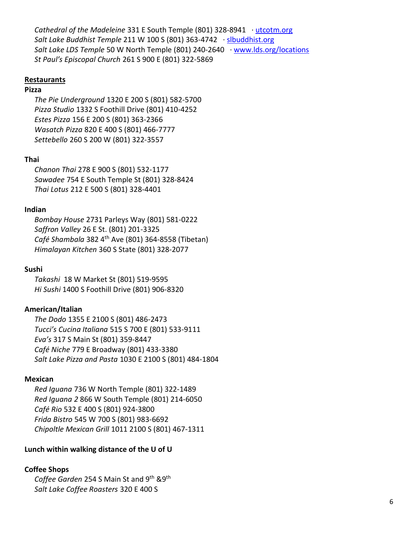*Cathedral of the Madeleine* 331 E South Temple (801) 328-8941 · [utcotm.org](http://maps.google.com/local_url?dq=catholic+church+slc&q=http://www.utcotm.org/&ved=0CFIQ5AQ&sa=X&ei=V4sjU8SbJYeZiQL_0YGwDA&s=ANYYN7nGfr1Kr34doCnxu1ME0vcbq1170Q) *Salt Lake Buddhist Temple* 211 W 100 S (801) 363-4742 · [slbuddhist.org](http://maps.google.com/local_url?dq=Buddhist+temple+slc&q=http://www.slbuddhist.org/&ved=0CEMQ5AQ&sa=X&ei=qosjU4u6HIeZiQL_0YGwDA&s=ANYYN7mTyPwxUDVz2b02nxE_ZZ9IpXIXUQ) *Salt Lake LDS Temple* 50 W North Temple (801) 240-2640 · [www.lds.org/locations](http://www.lds.org/locations) *St Paul's Episcopal Church* 261 S 900 E (801) 322-5869

#### **Restaurants**

# **Pizza**

*The Pie Underground* 1320 E 200 S (801) 582-5700 *Pizza Studio* 1332 S Foothill Drive (801) 410-4252 *Estes Pizza* 156 E 200 S (801) 363-2366 *Wasatch Pizza* 820 E 400 S (801) 466-7777 *Settebello* 260 S 200 W (801) 322-3557

# **Thai**

*Chanon Thai* 278 E 900 S (801) 532-1177 *Sawadee* 754 E South Temple St (801) 328-8424 *Thai Lotus* 212 E 500 S (801) 328-4401

# **Indian**

*Bombay House* 2731 Parleys Way (801) 581-0222 *Saffron Valley* 26 E St. (801) 201-3325 *Café Shambala* 382 4th Ave (801) 364-8558 (Tibetan) *Himalayan Kitchen* 360 S State (801) 328-2077

#### **Sushi**

*Takashi* 18 W Market St (801) 519-9595 *Hi Sushi* 1400 S Foothill Drive (801) 906-8320

# **American/Italian**

*The Dodo* 1355 E 2100 S (801) 486-2473 *Tucci's Cucina Italiana* 515 S 700 E (801) 533-9111 *Eva's* 317 S Main St (801) 359-8447 *Café Niche* 779 E Broadway (801) 433-3380 *Salt Lake Pizza and Pasta* 1030 E 2100 S (801) 484-1804

#### **Mexican**

*Red Iguana* 736 W North Temple (801) 322-1489 *Red Iguana 2* 866 W South Temple (801) 214-6050 *Café Rio* 532 E 400 S (801) 924-3800 *Frida Bistro* 545 W 700 S (801) 983-6692 *Chipoltle Mexican Grill* 1011 2100 S (801) 467-1311

# **Lunch within walking distance of the U of U**

# **Coffee Shops**

*Coffee Garden* 254 S Main St and 9th &9th *Salt Lake Coffee Roasters* 320 E 400 S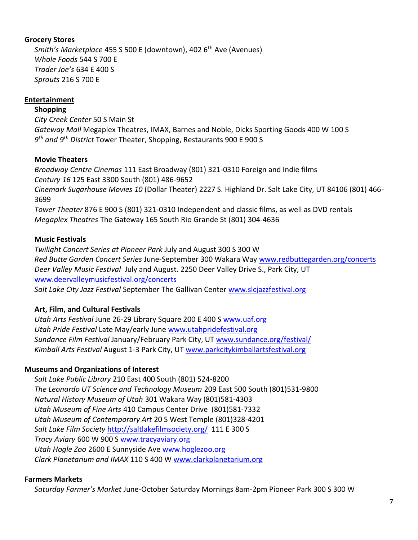# **Grocery Stores**

*Smith's Marketplace* 455 S 500 E (downtown), 402 6<sup>th</sup> Ave (Avenues) *Whole Foods* 544 S 700 E *Trader Joe's* 634 E 400 S *Sprouts* 216 S 700 E

# **Entertainment**

**Shopping**

*City Creek Center* 50 S Main St *Gateway Mall* Megaplex Theatres, IMAX, Barnes and Noble, Dicks Sporting Goods 400 W 100 S *9 th and 9th District* Tower Theater, Shopping, Restaurants 900 E 900 S

# **Movie Theaters**

*Broadway Centre Cinemas* 111 East Broadway (801) 321-0310 Foreign and Indie films *Century 16* 125 East 3300 South (801) 486-9652

*Cinemark Sugarhouse Movies 10* (Dollar Theater) 2227 S. Highland Dr. Salt Lake City, UT 84106 (801) 466- 3699

*Tower Theater* 876 E 900 S (801) 321-0310 Independent and classic films, as well as DVD rentals *Megaplex Theatres* The Gateway 165 South Rio Grande St (801) 304-4636

# **Music Festivals**

*Twilight Concert Series at Pioneer Park* July and August 300 S 300 W *Red Butte Garden Concert Series* June-September 300 Wakara Way [www.redbuttegarden.org/concerts](http://www.redbuttegarden.org/concerts) *Deer Valley Music Festival* July and August. 2250 Deer Valley Drive S., Park City, UT [www.deervalleymusicfestival.org/concerts](http://www.deervalleymusicfestival.org/concerts)

*Salt Lake City Jazz Festival* September The Gallivan Center [www.slcjazzfestival.org](http://www.slcjazzfestival.org/)

# **Art, Film, and Cultural Festivals**

*Utah Arts Festival* June 26-29 Library Square 200 E 400 S [www.uaf.org](http://www.uaf.org/) *Utah Pride Festival* Late May/early June [www.utahpridefestival.org](http://www.utahpridefestival.org/) *Sundance Film Festival* January/February Park City, UT [www.sundance.org/festival/](http://www.sundance.org/festival/) *Kimball Arts Festival* August 1-3 Park City, U[T www.parkcitykimballartsfestival.org](http://www.parkcitykimballartsfestival.org/)

# **Museums and Organizations of Interest**

*Salt Lake Public Library* 210 East 400 South (801) 524-8200 *The Leonardo UT Science and Technology Museum* 209 East 500 South (801)531-9800 *Natural History Museum of Utah* 301 Wakara Way (801)581-4303 *Utah Museum of Fine Arts* 410 Campus Center Drive (801)581-7332 *Utah Museum of Contemporary Art* 20 S West Temple (801)328-4201 *Salt Lake Film Society* <http://saltlakefilmsociety.org/>111 E 300 S *Tracy Aviary* 600 W 900 S [www.tracyaviary.org](http://www.tracyaviary.org/) *Utah Hogle Zoo* 2600 E Sunnyside Ave [www.hoglezoo.org](http://www.hoglezoo.org/) *Clark Planetarium and IMAX* 110 S 400 W [www.clarkplanetarium.org](http://www.clarkplanetarium.org/)

# **Farmers Markets**

*Saturday Farmer's Market* June-October Saturday Mornings 8am-2pm Pioneer Park 300 S 300 W